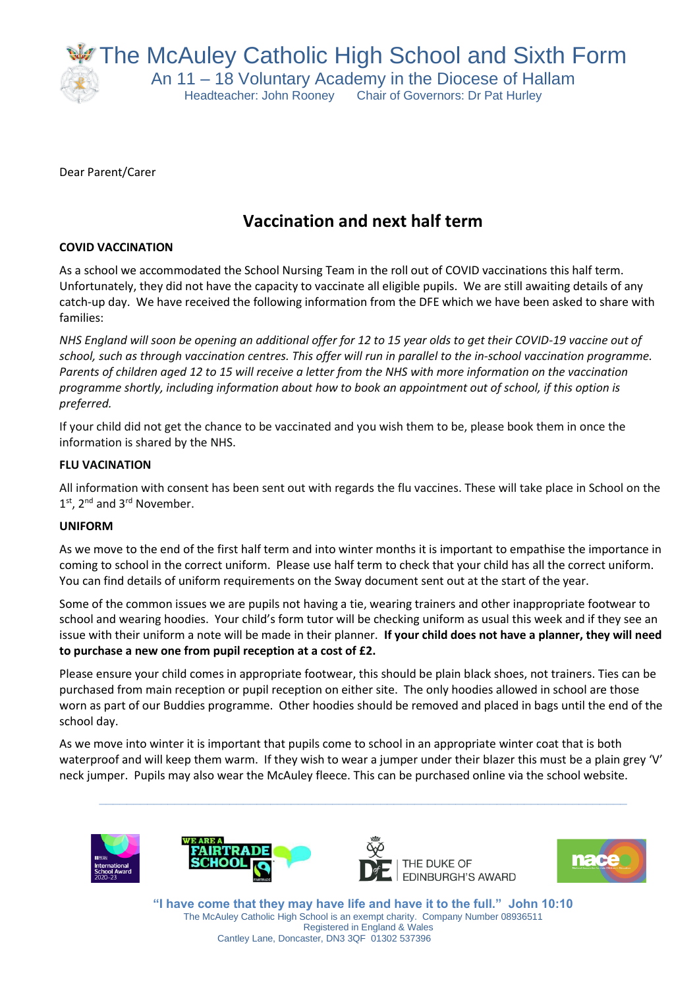The McAuley Catholic High School and Sixth Form

An 11 – 18 Voluntary Academy in the Diocese of Hallam Headteacher: John Rooney Chair of Governors: Dr Pat Hurley

Dear Parent/Carer

# **Vaccination and next half term**

# **COVID VACCINATION**

As a school we accommodated the School Nursing Team in the roll out of COVID vaccinations this half term. Unfortunately, they did not have the capacity to vaccinate all eligible pupils. We are still awaiting details of any catch-up day. We have received the following information from the DFE which we have been asked to share with families:

*NHS England will soon be opening an additional offer for 12 to 15 year olds to get their COVID-19 vaccine out of school, such as through vaccination centres. This offer will run in parallel to the in-school vaccination programme. Parents of children aged 12 to 15 will receive a letter from the NHS with more information on the vaccination programme shortly, including information about how to book an appointment out of school, if this option is preferred.* 

If your child did not get the chance to be vaccinated and you wish them to be, please book them in once the information is shared by the NHS.

# **FLU VACINATION**

All information with consent has been sent out with regards the flu vaccines. These will take place in School on the 1<sup>st</sup>, 2<sup>nd</sup> and 3<sup>rd</sup> November.

## **UNIFORM**

As we move to the end of the first half term and into winter months it is important to empathise the importance in coming to school in the correct uniform. Please use half term to check that your child has all the correct uniform. You can find details of uniform requirements on the Sway document sent out at the start of the year.

Some of the common issues we are pupils not having a tie, wearing trainers and other inappropriate footwear to school and wearing hoodies. Your child's form tutor will be checking uniform as usual this week and if they see an issue with their uniform a note will be made in their planner. **If your child does not have a planner, they will need to purchase a new one from pupil reception at a cost of £2.** 

Please ensure your child comes in appropriate footwear, this should be plain black shoes, not trainers. Ties can be purchased from main reception or pupil reception on either site. The only hoodies allowed in school are those worn as part of our Buddies programme. Other hoodies should be removed and placed in bags until the end of the school day.

As we move into winter it is important that pupils come to school in an appropriate winter coat that is both waterproof and will keep them warm. If they wish to wear a jumper under their blazer this must be a plain grey 'V' neck jumper. Pupils may also wear the McAuley fleece. This can be purchased online via the school website.

**\_\_\_\_\_\_\_\_\_\_\_\_\_\_\_\_\_\_\_\_\_\_\_\_\_\_\_\_\_\_\_\_\_\_\_\_\_\_\_\_\_\_\_\_\_\_\_\_\_\_\_\_\_\_\_\_\_\_\_\_\_\_\_\_\_\_\_\_\_\_\_\_\_\_\_\_\_**









**"I have come that they may have life and have it to the full." John 10:10** The McAuley Catholic High School is an exempt charity. Company Number 08936511 Registered in England & Wales Cantley Lane, Doncaster, DN3 3QF 01302 537396